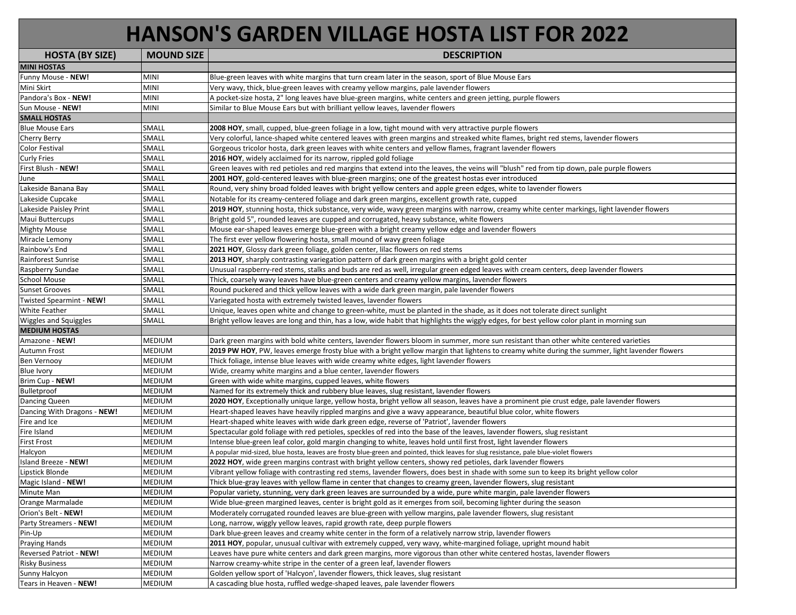## **HANSON'S GARDEN VILLAGE HOSTA LIST FOR 2022**

| <b>HOSTA (BY SIZE)</b>      | <b>MOUND SIZE</b> | <b>DESCRIPTION</b>                                                                                                                             |
|-----------------------------|-------------------|------------------------------------------------------------------------------------------------------------------------------------------------|
| <b>MINI HOSTAS</b>          |                   |                                                                                                                                                |
| Funny Mouse - NEW!          | <b>MINI</b>       | Blue-green leaves with white margins that turn cream later in the season, sport of Blue Mouse Ears                                             |
| Mini Skirt                  | <b>MINI</b>       | Very wavy, thick, blue-green leaves with creamy yellow margins, pale lavender flowers                                                          |
| Pandora's Box - NEW!        | MINI              | A pocket-size hosta, 2" long leaves have blue-green margins, white centers and green jetting, purple flowers                                   |
| Sun Mouse - NEW!            | MINI              | Similar to Blue Mouse Ears but with brilliant yellow leaves, lavender flowers                                                                  |
| <b>SMALL HOSTAS</b>         |                   |                                                                                                                                                |
| <b>Blue Mouse Ears</b>      | SMALL             | 2008 HOY, small, cupped, blue-green foliage in a low, tight mound with very attractive purple flowers                                          |
| Cherry Berry                | SMALL             | Very colorful, lance-shaped white centered leaves with green margins and streaked white flames, bright red stems, lavender flowers             |
| <b>Color Festival</b>       | SMALL             | Gorgeous tricolor hosta, dark green leaves with white centers and yellow flames, fragrant lavender flowers                                     |
| <b>Curly Fries</b>          | SMALL             | 2016 HOY, widely acclaimed for its narrow, rippled gold foliage                                                                                |
| First Blush - NEW!          | SMALL             | Green leaves with red petioles and red margins that extend into the leaves, the veins will "blush" red from tip down, pale purple flowers      |
| June                        | SMALL             | 2001 HOY, gold-centered leaves with blue-green margins; one of the greatest hostas ever introduced                                             |
| Lakeside Banana Bay         | SMALL             | Round, very shiny broad folded leaves with bright yellow centers and apple green edges, white to lavender flowers                              |
| Lakeside Cupcake            | SMALL             | Notable for its creamy-centered foliage and dark green margins, excellent growth rate, cupped                                                  |
| Lakeside Paisley Print      | SMALL             | 2019 HOY, stunning hosta, thick substance, very wide, wavy green margins with narrow, creamy white center markings, light lavender flowers     |
| Maui Buttercups             | SMALL             | Bright gold 5", rounded leaves are cupped and corrugated, heavy substance, white flowers                                                       |
| Mighty Mouse                | SMALL             | Mouse ear-shaped leaves emerge blue-green with a bright creamy yellow edge and lavender flowers                                                |
| Miracle Lemony              | SMALL             | The first ever yellow flowering hosta, small mound of wavy green foliage                                                                       |
| Rainbow's End               | SMALL             | 2021 HOY, Glossy dark green foliage, golden center, lilac flowers on red stems                                                                 |
| Rainforest Sunrise          | SMALL             | 2013 HOY, sharply contrasting variegation pattern of dark green margins with a bright gold center                                              |
| Raspberry Sundae            | SMALL             | Unusual raspberry-red stems, stalks and buds are red as well, irregular green edged leaves with cream centers, deep lavender flowers           |
| School Mouse                | SMALL             | Thick, coarsely wavy leaves have blue-green centers and creamy yellow margins, lavender flowers                                                |
| Sunset Grooves              | SMALL             | Round puckered and thick yellow leaves with a wide dark green margin, pale lavender flowers                                                    |
| Twisted Spearmint - NEW!    | SMALL             | Variegated hosta with extremely twisted leaves, lavender flowers                                                                               |
| <b>White Feather</b>        | SMALL             | Unique, leaves open white and change to green-white, must be planted in the shade, as it does not tolerate direct sunlight                     |
| Wiggles and Squiggles       | SMALL             | Bright yellow leaves are long and thin, has a low, wide habit that highlights the wiggly edges, for best yellow color plant in morning sun     |
| <b>MEDIUM HOSTAS</b>        |                   |                                                                                                                                                |
| Amazone - NEW!              | MEDIUM            | Dark green margins with bold white centers, lavender flowers bloom in summer, more sun resistant than other white centered varieties           |
| Autumn Frost                | MEDIUM            | 2019 PW HOY, PW, leaves emerge frosty blue with a bright yellow margin that lightens to creamy white during the summer, light lavender flowers |
| Ben Vernooy                 | MEDIUM            | Thick foliage, intense blue leaves with wide creamy white edges, light lavender flowers                                                        |
| Blue Ivory                  | MEDIUM            | Wide, creamy white margins and a blue center, lavender flowers                                                                                 |
| Brim Cup - NEW!             | MEDIUM            | Green with wide white margins, cupped leaves, white flowers                                                                                    |
| Bulletproof                 | MEDIUM            | Named for its extremely thick and rubbery blue leaves, slug resistant, lavender flowers                                                        |
| Dancing Queen               | MEDIUM            | 2020 HOY, Exceptionally unique large, yellow hosta, bright yellow all season, leaves have a prominent pie crust edge, pale lavender flowers    |
| Dancing With Dragons - NEW! | MEDIUM            | Heart-shaped leaves have heavily rippled margins and give a wavy appearance, beautiful blue color, white flowers                               |
| Fire and Ice                | MEDIUM            | Heart-shaped white leaves with wide dark green edge, reverse of 'Patriot', lavender flowers                                                    |
| Fire Island                 | MEDIUM            | Spectacular gold foliage with red petioles, speckles of red into the base of the leaves, lavender flowers, slug resistant                      |
| <b>First Frost</b>          | MEDIUM            | Intense blue-green leaf color, gold margin changing to white, leaves hold until first frost, light lavender flowers                            |
| Halcyon                     | MEDIUM            | A popular mid-sized, blue hosta, leaves are frosty blue-green and pointed, thick leaves for slug resistance, pale blue-violet flowers          |
| Island Breeze - NEW!        | MEDIUM            | 2022 HOY, wide green margins contrast with bright yellow centers, showy red petioles, dark lavender flowers                                    |
| Lipstick Blonde             | MEDIUM            | Vibrant yellow foliage with contrasting red stems, lavender flowers, does best in shade with some sun to keep its bright yellow color          |
| Magic Island - NEW!         | MEDIUM            | Thick blue-gray leaves with yellow flame in center that changes to creamy green, lavender flowers, slug resistant                              |
| Minute Man                  | MEDIUM            | Popular variety, stunning, very dark green leaves are surrounded by a wide, pure white margin, pale lavender flowers                           |
| Orange Marmalade            | <b>MEDIUM</b>     | Wide blue-green margined leaves, center is bright gold as it emerges from soil, becoming lighter during the season                             |
| Orion's Belt - NEW!         | MEDIUM            | Moderately corrugated rounded leaves are blue-green with yellow margins, pale lavender flowers, slug resistant                                 |
| Party Streamers - NEW!      | MEDIUM            | Long, narrow, wiggly yellow leaves, rapid growth rate, deep purple flowers                                                                     |
| Pin-Up                      | MEDIUM            | Dark blue-green leaves and creamy white center in the form of a relatively narrow strip, lavender flowers                                      |
| <b>Praying Hands</b>        | MEDIUM            | 2011 HOY, popular, unusual cultivar with extremely cupped, very wavy, white-margined foliage, upright mound habit                              |
| Reversed Patriot - NEW!     | MEDIUM            | Leaves have pure white centers and dark green margins, more vigorous than other white centered hostas, lavender flowers                        |
| <b>Risky Business</b>       | MEDIUM            | Narrow creamy-white stripe in the center of a green leaf, lavender flowers                                                                     |
| Sunny Halcyon               | MEDIUM            | Golden yellow sport of 'Halcyon', lavender flowers, thick leaves, slug resistant                                                               |
| Tears in Heaven - NEW!      | MEDIUM            | A cascading blue hosta, ruffled wedge-shaped leaves, pale lavender flowers                                                                     |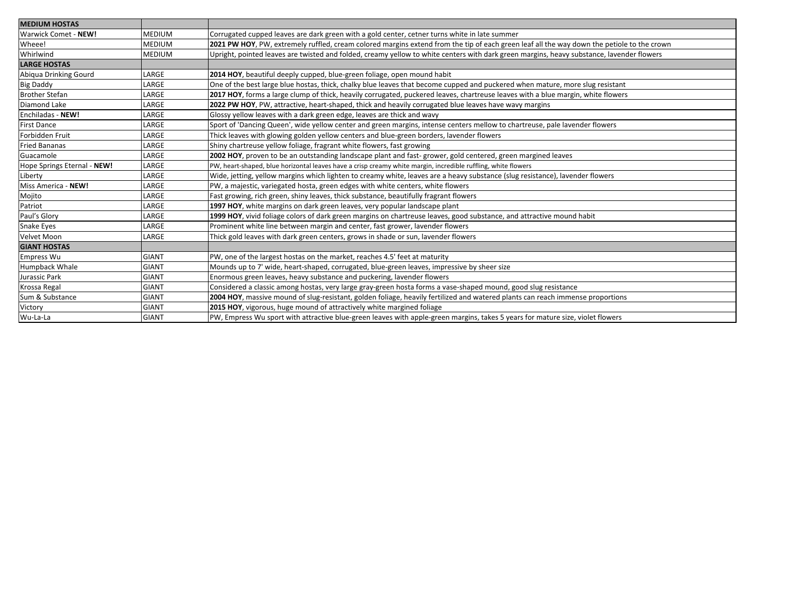| <b>MEDIUM HOSTAS</b>        |               |                                                                                                                                            |
|-----------------------------|---------------|--------------------------------------------------------------------------------------------------------------------------------------------|
| Warwick Comet - NEW!        | <b>MEDIUM</b> | Corrugated cupped leaves are dark green with a gold center, cetner turns white in late summer                                              |
| Wheee!                      | <b>MEDIUM</b> | 2021 PW HOY, PW, extremely ruffled, cream colored margins extend from the tip of each green leaf all the way down the petiole to the crown |
| Whirlwind                   | <b>MEDIUM</b> | Upright, pointed leaves are twisted and folded, creamy yellow to white centers with dark green margins, heavy substance, lavender flowers  |
| <b>LARGE HOSTAS</b>         |               |                                                                                                                                            |
| Abiqua Drinking Gourd       | LARGE         | 2014 HOY, beautiful deeply cupped, blue-green foliage, open mound habit                                                                    |
| <b>Big Daddy</b>            | LARGE         | One of the best large blue hostas, thick, chalky blue leaves that become cupped and puckered when mature, more slug resistant              |
| <b>Brother Stefan</b>       | LARGE         | 2017 HOY, forms a large clump of thick, heavily corrugated, puckered leaves, chartreuse leaves with a blue margin, white flowers           |
| Diamond Lake                | LARGE         | 2022 PW HOY, PW, attractive, heart-shaped, thick and heavily corrugated blue leaves have wavy margins                                      |
| Enchiladas - NEW!           | LARGE         | Glossy yellow leaves with a dark green edge, leaves are thick and wavy                                                                     |
| <b>First Dance</b>          | LARGE         | Sport of 'Dancing Queen', wide yellow center and green margins, intense centers mellow to chartreuse, pale lavender flowers                |
| Forbidden Fruit             | LARGE         | Thick leaves with glowing golden yellow centers and blue-green borders, lavender flowers                                                   |
| <b>Fried Bananas</b>        | LARGE         | Shiny chartreuse yellow foliage, fragrant white flowers, fast growing                                                                      |
| Guacamole                   | LARGE         | 2002 HOY, proven to be an outstanding landscape plant and fast-grower, gold centered, green margined leaves                                |
| Hope Springs Eternal - NEW! | LARGE         | PW, heart-shaped, blue horizontal leaves have a crisp creamy white margin, incredible ruffling, white flowers                              |
| Liberty                     | LARGE         | Wide, jetting, yellow margins which lighten to creamy white, leaves are a heavy substance (slug resistance), lavender flowers              |
| Miss America - NEW!         | LARGE         | PW, a majestic, variegated hosta, green edges with white centers, white flowers                                                            |
| Mojito                      | LARGE         | Fast growing, rich green, shiny leaves, thick substance, beautifully fragrant flowers                                                      |
| Patriot                     | LARGE         | 1997 HOY, white margins on dark green leaves, very popular landscape plant                                                                 |
| Paul's Glory                | LARGE         | 1999 HOY, vivid foliage colors of dark green margins on chartreuse leaves, good substance, and attractive mound habit                      |
| Snake Eyes                  | LARGE         | Prominent white line between margin and center, fast grower, lavender flowers                                                              |
| Velvet Moon                 | LARGE         | Thick gold leaves with dark green centers, grows in shade or sun, lavender flowers                                                         |
| <b>GIANT HOSTAS</b>         |               |                                                                                                                                            |
| <b>Empress Wu</b>           | <b>GIANT</b>  | PW, one of the largest hostas on the market, reaches 4.5' feet at maturity                                                                 |
| <b>Humpback Whale</b>       | <b>GIANT</b>  | Mounds up to 7' wide, heart-shaped, corrugated, blue-green leaves, impressive by sheer size                                                |
| Jurassic Park               | <b>GIANT</b>  | Enormous green leaves, heavy substance and puckering, lavender flowers                                                                     |
| Krossa Regal                | <b>GIANT</b>  | Considered a classic among hostas, very large gray-green hosta forms a vase-shaped mound, good slug resistance                             |
| Sum & Substance             | <b>GIANT</b>  | 2004 HOY, massive mound of slug-resistant, golden foliage, heavily fertilized and watered plants can reach immense proportions             |
| Victory                     | <b>GIANT</b>  | 2015 HOY, vigorous, huge mound of attractively white margined foliage                                                                      |
| Wu-La-La                    | <b>GIANT</b>  | PW, Empress Wu sport with attractive blue-green leaves with apple-green margins, takes 5 years for mature size, violet flowers             |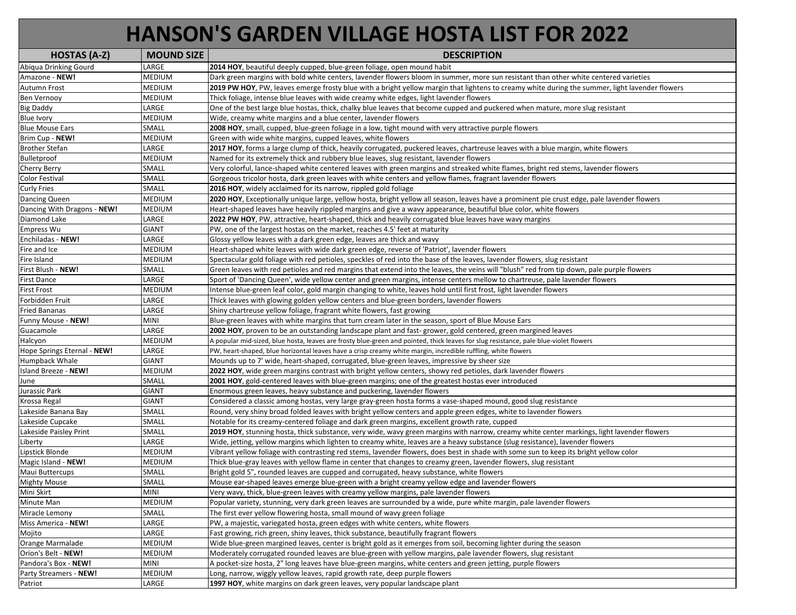## **HANSON'S GARDEN VILLAGE HOSTA LIST FOR 2022**

| <b>HOSTAS (A-Z)</b>         | <b>MOUND SIZE</b> | <b>DESCRIPTION</b>                                                                                                                             |
|-----------------------------|-------------------|------------------------------------------------------------------------------------------------------------------------------------------------|
| Abiqua Drinking Gourd       | LARGE             | 2014 HOY, beautiful deeply cupped, blue-green foliage, open mound habit                                                                        |
| Amazone - NEW!              | MEDIUM            | Dark green margins with bold white centers, lavender flowers bloom in summer, more sun resistant than other white centered varieties           |
| <b>Autumn Frost</b>         | MEDIUM            | 2019 PW HOY, PW, leaves emerge frosty blue with a bright yellow margin that lightens to creamy white during the summer, light lavender flowers |
| <b>Ben Vernooy</b>          | MEDIUM            | Thick foliage, intense blue leaves with wide creamy white edges, light lavender flowers                                                        |
| <b>Big Daddy</b>            | LARGE             | One of the best large blue hostas, thick, chalky blue leaves that become cupped and puckered when mature, more slug resistant                  |
| <b>Blue Ivory</b>           | MEDIUM            | Wide, creamy white margins and a blue center, lavender flowers                                                                                 |
| <b>Blue Mouse Ears</b>      | SMALL             | 2008 HOY, small, cupped, blue-green foliage in a low, tight mound with very attractive purple flowers                                          |
| Brim Cup - NEW!             | MEDIUM            | Green with wide white margins, cupped leaves, white flowers                                                                                    |
| <b>Brother Stefan</b>       | LARGE             | 2017 HOY, forms a large clump of thick, heavily corrugated, puckered leaves, chartreuse leaves with a blue margin, white flowers               |
| Bulletproof                 | MEDIUM            | Named for its extremely thick and rubbery blue leaves, slug resistant, lavender flowers                                                        |
| <b>Cherry Berry</b>         | SMALL             | Very colorful, lance-shaped white centered leaves with green margins and streaked white flames, bright red stems, lavender flowers             |
| <b>Color Festival</b>       | SMALL             | Gorgeous tricolor hosta, dark green leaves with white centers and yellow flames, fragrant lavender flowers                                     |
| <b>Curly Fries</b>          | SMALL             | 2016 HOY, widely acclaimed for its narrow, rippled gold foliage                                                                                |
| Dancing Queen               | MEDIUM            | 2020 HOY, Exceptionally unique large, yellow hosta, bright yellow all season, leaves have a prominent pie crust edge, pale lavender flowers    |
| Dancing With Dragons - NEW! | MEDIUM            | Heart-shaped leaves have heavily rippled margins and give a wavy appearance, beautiful blue color, white flowers                               |
| Diamond Lake                | LARGE             | 2022 PW HOY, PW, attractive, heart-shaped, thick and heavily corrugated blue leaves have wavy margins                                          |
| <b>Empress Wu</b>           | <b>GIANT</b>      | PW, one of the largest hostas on the market, reaches 4.5' feet at maturity                                                                     |
| Enchiladas - NEW!           | LARGE             | Glossy yellow leaves with a dark green edge, leaves are thick and wavy                                                                         |
| Fire and Ice                | MEDIUM            | Heart-shaped white leaves with wide dark green edge, reverse of 'Patriot', lavender flowers                                                    |
| Fire Island                 | MEDIUM            | Spectacular gold foliage with red petioles, speckles of red into the base of the leaves, lavender flowers, slug resistant                      |
| First Blush - NEW!          | SMALL             | Green leaves with red petioles and red margins that extend into the leaves, the veins will "blush" red from tip down, pale purple flowers      |
| <b>First Dance</b>          | LARGE             | Sport of 'Dancing Queen', wide yellow center and green margins, intense centers mellow to chartreuse, pale lavender flowers                    |
| <b>First Frost</b>          | MEDIUM            | Intense blue-green leaf color, gold margin changing to white, leaves hold until first frost, light lavender flowers                            |
| Forbidden Fruit             | LARGE             | Thick leaves with glowing golden yellow centers and blue-green borders, lavender flowers                                                       |
| <b>Fried Bananas</b>        | LARGE             | Shiny chartreuse yellow foliage, fragrant white flowers, fast growing                                                                          |
| Funny Mouse - NEW!          | MINI              | Blue-green leaves with white margins that turn cream later in the season, sport of Blue Mouse Ears                                             |
| Guacamole                   | LARGE             | 2002 HOY, proven to be an outstanding landscape plant and fast-grower, gold centered, green margined leaves                                    |
| Halcyon                     | MEDIUM            | A popular mid-sized, blue hosta, leaves are frosty blue-green and pointed, thick leaves for slug resistance, pale blue-violet flowers          |
| Hope Springs Eternal - NEW! | LARGE             | PW, heart-shaped, blue horizontal leaves have a crisp creamy white margin, incredible ruffling, white flowers                                  |
| Humpback Whale              | <b>GIANT</b>      | Mounds up to 7' wide, heart-shaped, corrugated, blue-green leaves, impressive by sheer size                                                    |
| Island Breeze - NEW!        | MEDIUM            | 2022 HOY, wide green margins contrast with bright yellow centers, showy red petioles, dark lavender flowers                                    |
| June                        | SMALL             | 2001 HOY, gold-centered leaves with blue-green margins; one of the greatest hostas ever introduced                                             |
| Jurassic Park               | GIANT             | Enormous green leaves, heavy substance and puckering, lavender flowers                                                                         |
| Krossa Regal                | <b>GIANT</b>      | Considered a classic among hostas, very large gray-green hosta forms a vase-shaped mound, good slug resistance                                 |
| Lakeside Banana Bay         | SMALL             | Round, very shiny broad folded leaves with bright yellow centers and apple green edges, white to lavender flowers                              |
| Lakeside Cupcake            | SMALL             | Notable for its creamy-centered foliage and dark green margins, excellent growth rate, cupped                                                  |
| Lakeside Paisley Print      | SMALL             | 2019 HOY, stunning hosta, thick substance, very wide, wavy green margins with narrow, creamy white center markings, light lavender flowers     |
| Liberty                     | LARGE             | Wide, jetting, yellow margins which lighten to creamy white, leaves are a heavy substance (slug resistance), lavender flowers                  |
| Lipstick Blonde             | MEDIUM            | Vibrant yellow foliage with contrasting red stems, lavender flowers, does best in shade with some sun to keep its bright yellow color          |
| Magic Island - NEW!         | MEDIUM            | Thick blue-gray leaves with yellow flame in center that changes to creamy green, lavender flowers, slug resistant                              |
| Maui Buttercups             | SMALL             | Bright gold 5", rounded leaves are cupped and corrugated, heavy substance, white flowers                                                       |
| <b>Mighty Mouse</b>         | SMALL             | Mouse ear-shaped leaves emerge blue-green with a bright creamy yellow edge and lavender flowers                                                |
| Mini Skirt                  | MINI              | Very wavy, thick, blue-green leaves with creamy yellow margins, pale lavender flowers                                                          |
| Minute Man                  | MEDIUM            | Popular variety, stunning, very dark green leaves are surrounded by a wide, pure white margin, pale lavender flowers                           |
| Miracle Lemony              | SMALL             | The first ever yellow flowering hosta, small mound of wavy green foliage                                                                       |
| Miss America - NEW!         | LARGE             | PW, a majestic, variegated hosta, green edges with white centers, white flowers                                                                |
| Mojito                      | LARGE             | Fast growing, rich green, shiny leaves, thick substance, beautifully fragrant flowers                                                          |
| Orange Marmalade            | MEDIUM            | Wide blue-green margined leaves, center is bright gold as it emerges from soil, becoming lighter during the season                             |
| Orion's Belt - NEW!         | MEDIUM            | Moderately corrugated rounded leaves are blue-green with yellow margins, pale lavender flowers, slug resistant                                 |
| Pandora's Box - NEW!        | <b>MINI</b>       | A pocket-size hosta, 2" long leaves have blue-green margins, white centers and green jetting, purple flowers                                   |
| Party Streamers - NEW!      | MEDIUM            | Long, narrow, wiggly yellow leaves, rapid growth rate, deep purple flowers                                                                     |
| Patriot                     | LARGE             | 1997 HOY, white margins on dark green leaves, very popular landscape plant                                                                     |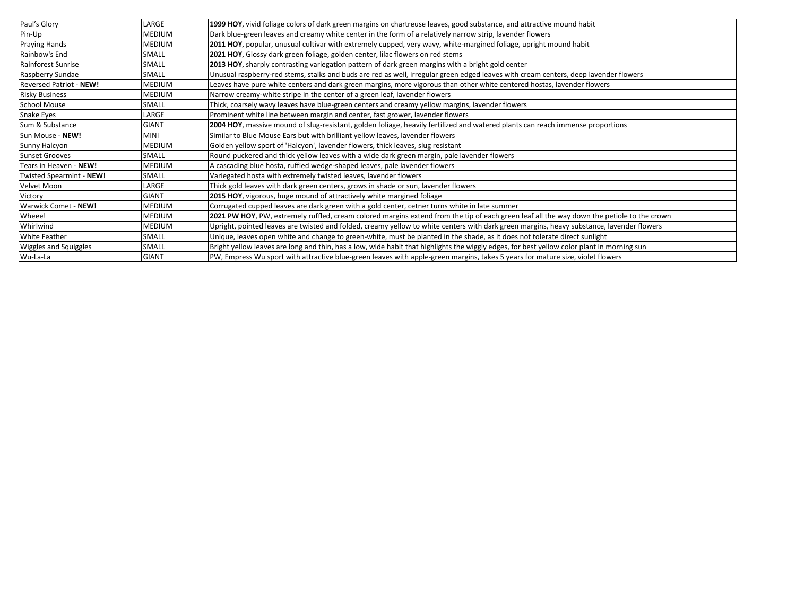| Paul's Glory                 | LARGE        | 1999 HOY, vivid foliage colors of dark green margins on chartreuse leaves, good substance, and attractive mound habit                      |
|------------------------------|--------------|--------------------------------------------------------------------------------------------------------------------------------------------|
| Pin-Up                       | MEDIUM       | Dark blue-green leaves and creamy white center in the form of a relatively narrow strip, lavender flowers                                  |
| <b>Praying Hands</b>         | MEDIUM       | 2011 HOY, popular, unusual cultivar with extremely cupped, very wavy, white-margined foliage, upright mound habit                          |
| Rainbow's End                | SMALL        | 2021 HOY, Glossy dark green foliage, golden center, lilac flowers on red stems                                                             |
| Rainforest Sunrise           | SMALL        | 2013 HOY, sharply contrasting variegation pattern of dark green margins with a bright gold center                                          |
| Raspberry Sundae             | SMALL        | Unusual raspberry-red stems, stalks and buds are red as well, irregular green edged leaves with cream centers, deep lavender flowers       |
| Reversed Patriot - NEW!      | MEDIUM       | Leaves have pure white centers and dark green margins, more vigorous than other white centered hostas, lavender flowers                    |
| <b>Risky Business</b>        | MEDIUM       | Narrow creamy-white stripe in the center of a green leaf, lavender flowers                                                                 |
| <b>School Mouse</b>          | SMALL        | Thick, coarsely wavy leaves have blue-green centers and creamy yellow margins, lavender flowers                                            |
| Snake Eyes                   | LARGE        | Prominent white line between margin and center, fast grower, lavender flowers                                                              |
| Sum & Substance              | <b>GIANT</b> | 2004 HOY, massive mound of slug-resistant, golden foliage, heavily fertilized and watered plants can reach immense proportions             |
| Sun Mouse - NEW!             | <b>MINI</b>  | Similar to Blue Mouse Ears but with brilliant yellow leaves, lavender flowers                                                              |
| Sunny Halcyon                | MEDIUM       | Golden yellow sport of 'Halcyon', lavender flowers, thick leaves, slug resistant                                                           |
| <b>Sunset Grooves</b>        | SMALL        | Round puckered and thick yellow leaves with a wide dark green margin, pale lavender flowers                                                |
| Tears in Heaven - NEW!       | MEDIUM       | A cascading blue hosta, ruffled wedge-shaped leaves, pale lavender flowers                                                                 |
| Twisted Spearmint - NEW!     | SMALL        | Variegated hosta with extremely twisted leaves, lavender flowers                                                                           |
| Velvet Moon                  | LARGE        | Thick gold leaves with dark green centers, grows in shade or sun, lavender flowers                                                         |
| Victory                      | <b>GIANT</b> | 2015 HOY, vigorous, huge mound of attractively white margined foliage                                                                      |
| Warwick Comet - NEW!         | MEDIUM       | Corrugated cupped leaves are dark green with a gold center, cetner turns white in late summer                                              |
| Wheee!                       | MEDIUM       | 2021 PW HOY, PW, extremely ruffled, cream colored margins extend from the tip of each green leaf all the way down the petiole to the crown |
| Whirlwind                    | MEDIUM       | Upright, pointed leaves are twisted and folded, creamy yellow to white centers with dark green margins, heavy substance, lavender flowers  |
| <b>White Feather</b>         | <b>SMALL</b> | Unique, leaves open white and change to green-white, must be planted in the shade, as it does not tolerate direct sunlight                 |
| <b>Wiggles and Squiggles</b> | <b>SMALL</b> | Bright yellow leaves are long and thin, has a low, wide habit that highlights the wiggly edges, for best yellow color plant in morning sun |
| Wu-La-La                     | <b>GIANT</b> | PW, Empress Wu sport with attractive blue-green leaves with apple-green margins, takes 5 years for mature size, violet flowers             |
|                              |              |                                                                                                                                            |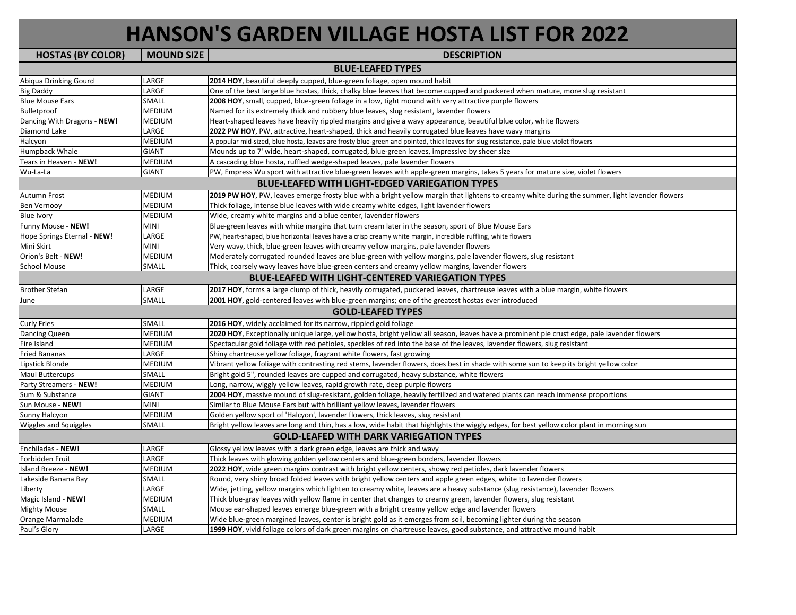## **HANSON'S GARDEN VILLAGE HOSTA LIST FOR 2022**

| <b>HOSTAS (BY COLOR)</b>    | <b>MOUND SIZE</b> | <b>DESCRIPTION</b>                                                                                                                             |
|-----------------------------|-------------------|------------------------------------------------------------------------------------------------------------------------------------------------|
|                             |                   | <b>BLUE-LEAFED TYPES</b>                                                                                                                       |
| Abiqua Drinking Gourd       | LARGE             | 2014 HOY, beautiful deeply cupped, blue-green foliage, open mound habit                                                                        |
| <b>Big Daddy</b>            | LARGE             | One of the best large blue hostas, thick, chalky blue leaves that become cupped and puckered when mature, more slug resistant                  |
| <b>Blue Mouse Ears</b>      | SMALL             | 2008 HOY, small, cupped, blue-green foliage in a low, tight mound with very attractive purple flowers                                          |
| Bulletproof                 | MEDIUM            | Named for its extremely thick and rubbery blue leaves, slug resistant, lavender flowers                                                        |
| Dancing With Dragons - NEW! | MEDIUM            | Heart-shaped leaves have heavily rippled margins and give a wavy appearance, beautiful blue color, white flowers                               |
| Diamond Lake                | LARGE             | 2022 PW HOY, PW, attractive, heart-shaped, thick and heavily corrugated blue leaves have wavy margins                                          |
| Halcyon                     | MEDIUM            | A popular mid-sized, blue hosta, leaves are frosty blue-green and pointed, thick leaves for slug resistance, pale blue-violet flowers          |
| Humpback Whale              | <b>GIANT</b>      | Mounds up to 7' wide, heart-shaped, corrugated, blue-green leaves, impressive by sheer size                                                    |
| Tears in Heaven - NEW!      | MEDIUM            | A cascading blue hosta, ruffled wedge-shaped leaves, pale lavender flowers                                                                     |
| Wu-La-La                    | <b>GIANT</b>      | PW, Empress Wu sport with attractive blue-green leaves with apple-green margins, takes 5 years for mature size, violet flowers                 |
|                             |                   | <b>BLUE-LEAFED WITH LIGHT-EDGED VARIEGATION TYPES</b>                                                                                          |
| <b>Autumn Frost</b>         | <b>MEDIUM</b>     | 2019 PW HOY, PW, leaves emerge frosty blue with a bright yellow margin that lightens to creamy white during the summer, light lavender flowers |
| <b>Ben Vernooy</b>          | MEDIUM            | Thick foliage, intense blue leaves with wide creamy white edges, light lavender flowers                                                        |
| Blue Ivory                  | MEDIUM            | Wide, creamy white margins and a blue center, lavender flowers                                                                                 |
| Funny Mouse - NEW!          | MINI              | Blue-green leaves with white margins that turn cream later in the season, sport of Blue Mouse Ears                                             |
| Hope Springs Eternal - NEW! | LARGE             | PW, heart-shaped, blue horizontal leaves have a crisp creamy white margin, incredible ruffling, white flowers                                  |
| Mini Skirt                  | MINI              | Very wavy, thick, blue-green leaves with creamy yellow margins, pale lavender flowers                                                          |
| Orion's Belt - NEW!         | MEDIUM            | Moderately corrugated rounded leaves are blue-green with yellow margins, pale lavender flowers, slug resistant                                 |
| <b>School Mouse</b>         | SMALL             | Thick, coarsely wavy leaves have blue-green centers and creamy yellow margins, lavender flowers                                                |
|                             |                   | <b>BLUE-LEAFED WITH LIGHT-CENTERED VARIEGATION TYPES</b>                                                                                       |
| <b>Brother Stefan</b>       | LARGE             | 2017 HOY, forms a large clump of thick, heavily corrugated, puckered leaves, chartreuse leaves with a blue margin, white flowers               |
| June                        | SMALL             | 2001 HOY, gold-centered leaves with blue-green margins; one of the greatest hostas ever introduced                                             |
|                             |                   | <b>GOLD-LEAFED TYPES</b>                                                                                                                       |
| <b>Curly Fries</b>          | SMALL             | 2016 HOY, widely acclaimed for its narrow, rippled gold foliage                                                                                |
| <b>Dancing Queen</b>        | MEDIUM            | 2020 HOY, Exceptionally unique large, yellow hosta, bright yellow all season, leaves have a prominent pie crust edge, pale lavender flowers    |
| Fire Island                 | MEDIUM            | Spectacular gold foliage with red petioles, speckles of red into the base of the leaves, lavender flowers, slug resistant                      |
| <b>Fried Bananas</b>        | LARGE             | Shiny chartreuse yellow foliage, fragrant white flowers, fast growing                                                                          |
| Lipstick Blonde             | <b>MEDIUM</b>     | Vibrant yellow foliage with contrasting red stems, lavender flowers, does best in shade with some sun to keep its bright yellow color          |
| Maui Buttercups             | SMALL             | Bright gold 5", rounded leaves are cupped and corrugated, heavy substance, white flowers                                                       |
| Party Streamers - NEW!      | MEDIUM            | Long, narrow, wiggly yellow leaves, rapid growth rate, deep purple flowers                                                                     |
| Sum & Substance             | <b>GIANT</b>      | 2004 HOY, massive mound of slug-resistant, golden foliage, heavily fertilized and watered plants can reach immense proportions                 |
| Sun Mouse - NEW!            | MINI              | Similar to Blue Mouse Ears but with brilliant yellow leaves, lavender flowers                                                                  |
| Sunny Halcyon               | MEDIUM            | Golden yellow sport of 'Halcyon', lavender flowers, thick leaves, slug resistant                                                               |
| Wiggles and Squiggles       | SMALL             | Bright yellow leaves are long and thin, has a low, wide habit that highlights the wiggly edges, for best yellow color plant in morning sun     |
|                             |                   | <b>GOLD-LEAFED WITH DARK VARIEGATION TYPES</b>                                                                                                 |
| <b>Enchiladas - NEW!</b>    | LARGE             | Glossy yellow leaves with a dark green edge, leaves are thick and wavy                                                                         |
| Forbidden Fruit             | LARGE             | Thick leaves with glowing golden yellow centers and blue-green borders, lavender flowers                                                       |
| <b>Island Breeze - NEW!</b> | MEDIUM            | 2022 HOY, wide green margins contrast with bright yellow centers, showy red petioles, dark lavender flowers                                    |
| Lakeside Banana Bay         | SMALL             | Round, very shiny broad folded leaves with bright yellow centers and apple green edges, white to lavender flowers                              |
| Liberty                     | LARGE             | Wide, jetting, yellow margins which lighten to creamy white, leaves are a heavy substance (slug resistance), lavender flowers                  |
| Magic Island - NEW!         | MEDIUM            | Thick blue-gray leaves with yellow flame in center that changes to creamy green, lavender flowers, slug resistant                              |
| <b>Mighty Mouse</b>         | SMALL             | Mouse ear-shaped leaves emerge blue-green with a bright creamy yellow edge and lavender flowers                                                |
| Orange Marmalade            | <b>MEDIUM</b>     | Wide blue-green margined leaves, center is bright gold as it emerges from soil, becoming lighter during the season                             |
| Paul's Glory                | LARGE             | 1999 HOY, vivid foliage colors of dark green margins on chartreuse leaves, good substance, and attractive mound habit                          |